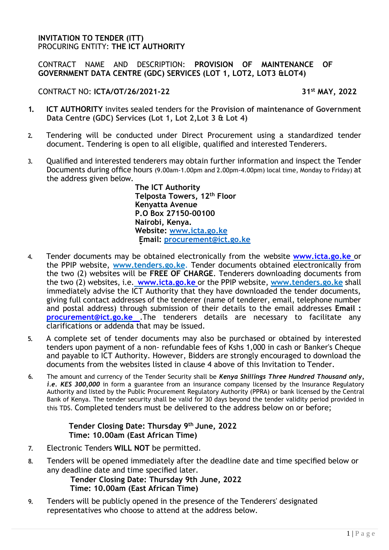#### **INVITATION TO TENDER (ITT)** PROCURING ENTITY: **THE ICT AUTHORITY**

### CONTRACT NAME AND DESCRIPTION: **PROVISION OF MAINTENANCE OF GOVERNMENT DATA CENTRE (GDC) SERVICES (LOT 1, LOT2, LOT3 &LOT4)**

#### CONTRACT NO: **ICTA/OT/26/2021-22 31st MAY, 2022**

- **1. ICT AUTHORITY** invites sealed tenders for the **Provision of maintenance of Government Data Centre (GDC) Services (Lot 1, Lot 2,Lot 3 & Lot 4)**
- **2.** Tendering will be conducted under Direct Procurement using a standardized tender document. Tendering is open to all eligible, qualified and interested Tenderers.
- **3.** Qualified and interested tenderers may obtain further information and inspect the Tender Documents during office hours (9.00am-1.00pm and 2.00pm-4.00pm) local time, Monday to Friday) at the address given below.

**The ICT Authority Telposta Towers, 12th Floor Kenyatta Avenue P.O Box 27150-00100 Nairobi, Kenya. Website: www.icta.go.ke Email: procurement@ict.go.ke**

- **4.** Tender documents may be obtained electronically from the website **www.icta.go.ke** or the PPIP website, **[www.tenders.go.ke](http://www.tenders.go.ke/)**. Tender documents obtained electronically from the two (2) websites will be **FREE OF CHARGE**. Tenderers downloading documents from the two (2) websites, i.e. **www.icta.go.ke** or the PPIP website, **[www.tenders.go.ke](http://www.tenders.go.ke/)** shall immediately advise the ICT Authority that they have downloaded the tender documents, giving full contact addresses of the tenderer (name of tenderer, email, telephone number and postal address) through submission of their details to the email addresses **Email [:](mailto:%20procurement@ict.go.ke) [procurement@ict.go.ke](mailto:%20procurement@ict.go.ke)** .The tenderers details are necessary to facilitate any clarifications or addenda that may be issued.
- **5.** A complete set of tender documents may also be purchased or obtained by interested tenders upon payment of a non- refundable fees of Kshs 1,000 in cash or Banker's Cheque and payable to ICT Authority. However, Bidders are strongly encouraged to download the documents from the websites listed in clause 4 above of this Invitation to Tender.
- **6.** The amount and currency of the Tender Security shall be *Kenya Shillings Three Hundred Thousand only, i.e. KES 300,000* in form a guarantee from an insurance company licensed by the Insurance Regulatory Authority and listed by the Public Procurement Regulatory Authority (PPRA) or bank licensed by the Central Bank of Kenya. The tender security shall be valid for 30 days beyond the tender validity period provided in this TDS. Completed tenders must be delivered to the address below on or before;

## **Tender Closing Date: Thursday 9 th June, 2022 Time: 10.00am (East African Time)**

- **7.** Electronic Tenders **WILL NOT** be permitted.
- **8.** Tenders will be opened immediately after the deadline date and time specified below or any deadline date and time specified later.

**Tender Closing Date: Thursday 9th June, 2022 Time: 10.00am (East African Time)**

**9.** Tenders will be publicly opened in the presence of the Tenderers' designated representatives who choose to attend at the address below.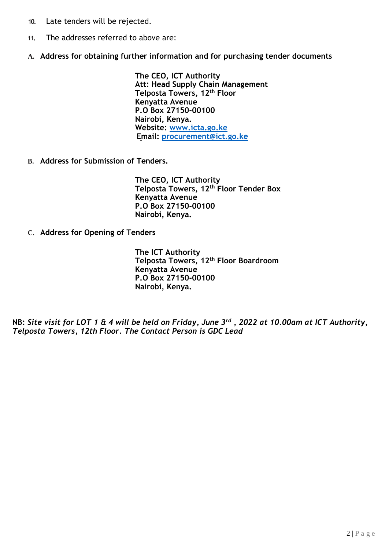- **10.** Late tenders will be rejected.
- **11.** The addresses referred to above are:
- **A. Address for obtaining further information and for purchasing tender documents**

**The CEO, ICT Authority Att: Head Supply Chain Management Telposta Towers, 12th Floor Kenyatta Avenue P.O Box 27150-00100 Nairobi, Kenya. Website: www.icta.go.ke Email: procurement@ict.go.ke**

**B. Address for Submission of Tenders.**

**The CEO, ICT Authority Telposta Towers, 12th Floor Tender Box Kenyatta Avenue P.O Box 27150-00100 Nairobi, Kenya.**

**C. Address for Opening of Tenders**

**The ICT Authority Telposta Towers, 12th Floor Boardroom Kenyatta Avenue P.O Box 27150-00100 Nairobi, Kenya.**

**NB:** *Site visit for LOT 1 & 4 will be held on Friday, June 3rd , 2022 at 10.00am at ICT Authority, Telposta Towers, 12th Floor. The Contact Person is GDC Lead*